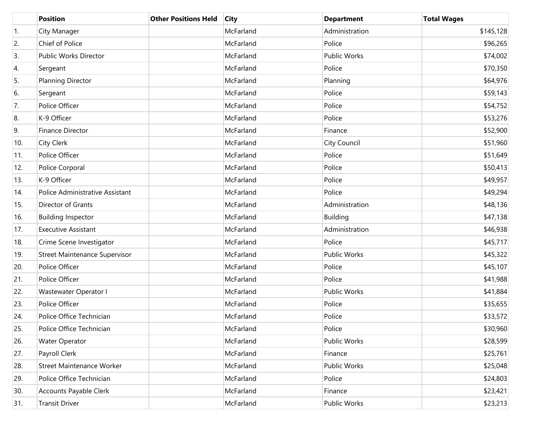|                  | <b>Position</b>                 | <b>Other Positions Held</b> | <b>City</b> | <b>Department</b> | <b>Total Wages</b> |
|------------------|---------------------------------|-----------------------------|-------------|-------------------|--------------------|
| $\overline{1}$ . | City Manager                    |                             | McFarland   | Administration    | \$145,128          |
| 2.               | Chief of Police                 |                             | McFarland   | Police            | \$96,265           |
| 3.               | Public Works Director           |                             | McFarland   | Public Works      | \$74,002           |
| 4.               | Sergeant                        |                             | McFarland   | Police            | \$70,350           |
| 5.               | Planning Director               |                             | McFarland   | Planning          | \$64,976           |
| 6.               | Sergeant                        |                             | McFarland   | Police            | \$59,143           |
| 7.               | Police Officer                  |                             | McFarland   | Police            | \$54,752           |
| 8.               | K-9 Officer                     |                             | McFarland   | Police            | \$53,276           |
| 9.               | Finance Director                |                             | McFarland   | Finance           | \$52,900           |
| 10.              | City Clerk                      |                             | McFarland   | City Council      | \$51,960           |
| 11.              | Police Officer                  |                             | McFarland   | Police            | \$51,649           |
| 12.              | Police Corporal                 |                             | McFarland   | Police            | \$50,413           |
| 13.              | K-9 Officer                     |                             | McFarland   | Police            | \$49,957           |
| 14.              | Police Administrative Assistant |                             | McFarland   | Police            | \$49,294           |
| 15.              | Director of Grants              |                             | McFarland   | Administration    | \$48,136           |
| 16.              | <b>Building Inspector</b>       |                             | McFarland   | <b>Building</b>   | \$47,138           |
| 17.              | <b>Executive Assistant</b>      |                             | McFarland   | Administration    | \$46,938           |
| 18.              | Crime Scene Investigator        |                             | McFarland   | Police            | \$45,717           |
| 19.              | Street Maintenance Supervisor   |                             | McFarland   | Public Works      | \$45,322           |
| 20.              | Police Officer                  |                             | McFarland   | Police            | \$45,107           |
| 21.              | Police Officer                  |                             | McFarland   | Police            | \$41,988           |
| 22.              | Wastewater Operator I           |                             | McFarland   | Public Works      | \$41,884           |
| 23.              | Police Officer                  |                             | McFarland   | Police            | \$35,655           |
| 24.              | Police Office Technician        |                             | McFarland   | Police            | \$33,572           |
| 25.              | Police Office Technician        |                             | McFarland   | Police            | \$30,960           |
| 26.              | <b>Water Operator</b>           |                             | McFarland   | Public Works      | \$28,599           |
| 27.              | Payroll Clerk                   |                             | McFarland   | Finance           | \$25,761           |
| 28.              | Street Maintenance Worker       |                             | McFarland   | Public Works      | \$25,048           |
| 29.              | Police Office Technician        |                             | McFarland   | Police            | \$24,803           |
| 30.              | Accounts Payable Clerk          |                             | McFarland   | Finance           | \$23,421           |
| 31.              | <b>Transit Driver</b>           |                             | McFarland   | Public Works      | \$23,213           |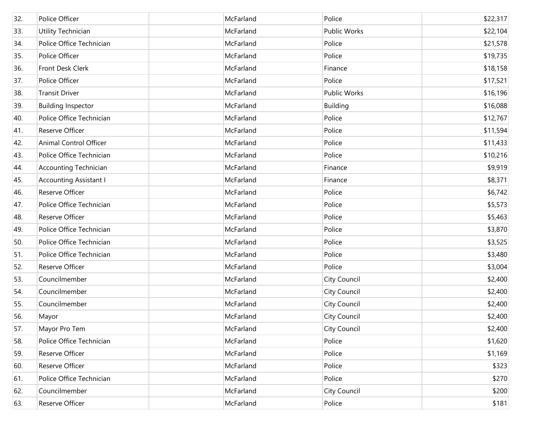| 32. | Police Officer                | McFarland | Police              | \$22,317 |
|-----|-------------------------------|-----------|---------------------|----------|
| 33. | Utility Technician            | McFarland | <b>Public Works</b> | \$22,104 |
| 34. | Police Office Technician      | McFarland | Police              | \$21,578 |
| 35. | Police Officer                | McFarland | Police              | \$19,735 |
| 36. | Front Desk Clerk              | McFarland | Finance             | \$18,158 |
| 37. | Police Officer                | McFarland | Police              | \$17,521 |
| 38. | <b>Transit Driver</b>         | McFarland | <b>Public Works</b> | \$16,196 |
| 39. | <b>Building Inspector</b>     | McFarland | Building            | \$16,088 |
| 40. | Police Office Technician      | McFarland | Police              | \$12,767 |
| 41. | Reserve Officer               | McFarland | Police              | \$11,594 |
| 42. | Animal Control Officer        | McFarland | Police              | \$11,433 |
| 43. | Police Office Technician      | McFarland | Police              | \$10,216 |
| 44. | <b>Accounting Technician</b>  | McFarland | Finance             | \$9,919  |
| 45. | <b>Accounting Assistant I</b> | McFarland | Finance             | \$8,371  |
| 46. | Reserve Officer               | McFarland | Police              | \$6,742  |
| 47. | Police Office Technician      | McFarland | Police              | \$5,573  |
| 48. | Reserve Officer               | McFarland | Police              | \$5,463  |
| 49. | Police Office Technician      | McFarland | Police              | \$3,870  |
| 50. | Police Office Technician      | McFarland | Police              | \$3,525  |
| 51. | Police Office Technician      | McFarland | Police              | \$3,480  |
| 52. | Reserve Officer               | McFarland | Police              | \$3,004  |
| 53. | Councilmember                 | McFarland | City Council        | \$2,400  |
| 54. | Councilmember                 | McFarland | City Council        | \$2,400  |
| 55. | Councilmember                 | McFarland | City Council        | \$2,400  |
| 56. | Mayor                         | McFarland | <b>City Council</b> | \$2,400  |
| 57. | Mayor Pro Tem                 | McFarland | <b>City Council</b> | \$2,400  |
| 58. | Police Office Technician      | McFarland | Police              | \$1,620  |
| 59. | Reserve Officer               | McFarland | Police              | \$1,169  |
| 60. | Reserve Officer               | McFarland | Police              | \$323    |
| 61. | Police Office Technician      | McFarland | Police              | \$270    |
| 62. | Councilmember                 | McFarland | <b>City Council</b> | \$200    |
| 63. | Reserve Officer               | McFarland | Police              | \$181    |